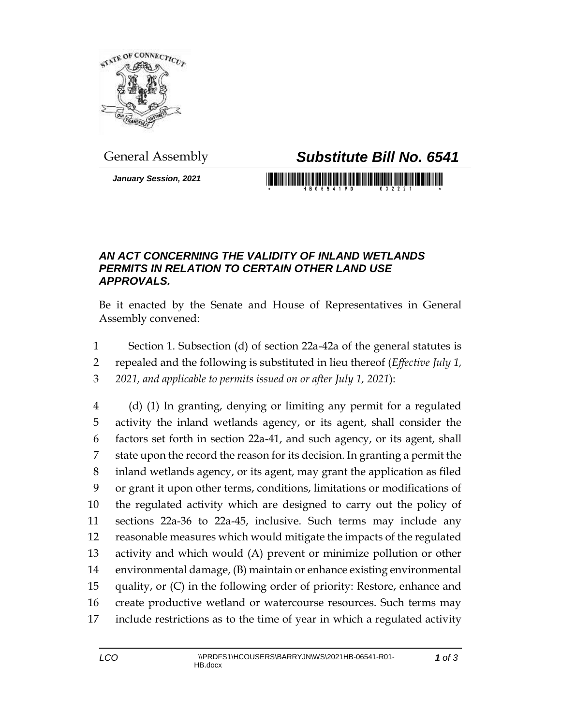

*January Session, 2021*

## General Assembly *Substitute Bill No. 6541*

## *AN ACT CONCERNING THE VALIDITY OF INLAND WETLANDS PERMITS IN RELATION TO CERTAIN OTHER LAND USE APPROVALS.*

Be it enacted by the Senate and House of Representatives in General Assembly convened:

- Section 1. Subsection (d) of section 22a-42a of the general statutes is
- repealed and the following is substituted in lieu thereof (*Effective July 1,*
- *2021, and applicable to permits issued on or after July 1, 2021*):

 (d) (1) In granting, denying or limiting any permit for a regulated activity the inland wetlands agency, or its agent, shall consider the factors set forth in section 22a-41, and such agency, or its agent, shall state upon the record the reason for its decision. In granting a permit the inland wetlands agency, or its agent, may grant the application as filed or grant it upon other terms, conditions, limitations or modifications of the regulated activity which are designed to carry out the policy of sections 22a-36 to 22a-45, inclusive. Such terms may include any reasonable measures which would mitigate the impacts of the regulated activity and which would (A) prevent or minimize pollution or other environmental damage, (B) maintain or enhance existing environmental quality, or (C) in the following order of priority: Restore, enhance and create productive wetland or watercourse resources. Such terms may include restrictions as to the time of year in which a regulated activity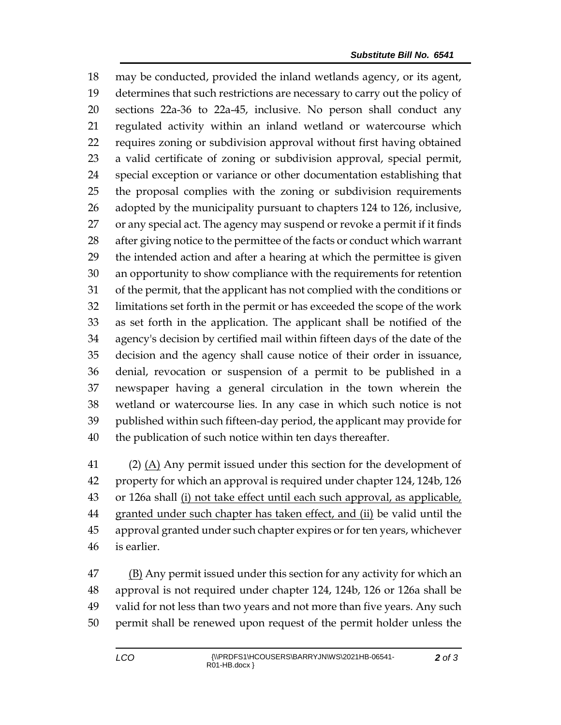may be conducted, provided the inland wetlands agency, or its agent, determines that such restrictions are necessary to carry out the policy of sections 22a-36 to 22a-45, inclusive. No person shall conduct any regulated activity within an inland wetland or watercourse which requires zoning or subdivision approval without first having obtained a valid certificate of zoning or subdivision approval, special permit, special exception or variance or other documentation establishing that the proposal complies with the zoning or subdivision requirements adopted by the municipality pursuant to chapters 124 to 126, inclusive, or any special act. The agency may suspend or revoke a permit if it finds after giving notice to the permittee of the facts or conduct which warrant the intended action and after a hearing at which the permittee is given an opportunity to show compliance with the requirements for retention of the permit, that the applicant has not complied with the conditions or limitations set forth in the permit or has exceeded the scope of the work as set forth in the application. The applicant shall be notified of the agency's decision by certified mail within fifteen days of the date of the decision and the agency shall cause notice of their order in issuance, denial, revocation or suspension of a permit to be published in a newspaper having a general circulation in the town wherein the wetland or watercourse lies. In any case in which such notice is not published within such fifteen-day period, the applicant may provide for the publication of such notice within ten days thereafter.

 (2) (A) Any permit issued under this section for the development of property for which an approval is required under chapter 124, 124b, 126 43 or 126a shall (i) not take effect until each such approval, as applicable, granted under such chapter has taken effect, and (ii) be valid until the approval granted under such chapter expires or for ten years, whichever is earlier.

 (B) Any permit issued under this section for any activity for which an approval is not required under chapter 124, 124b, 126 or 126a shall be valid for not less than two years and not more than five years. Any such permit shall be renewed upon request of the permit holder unless the